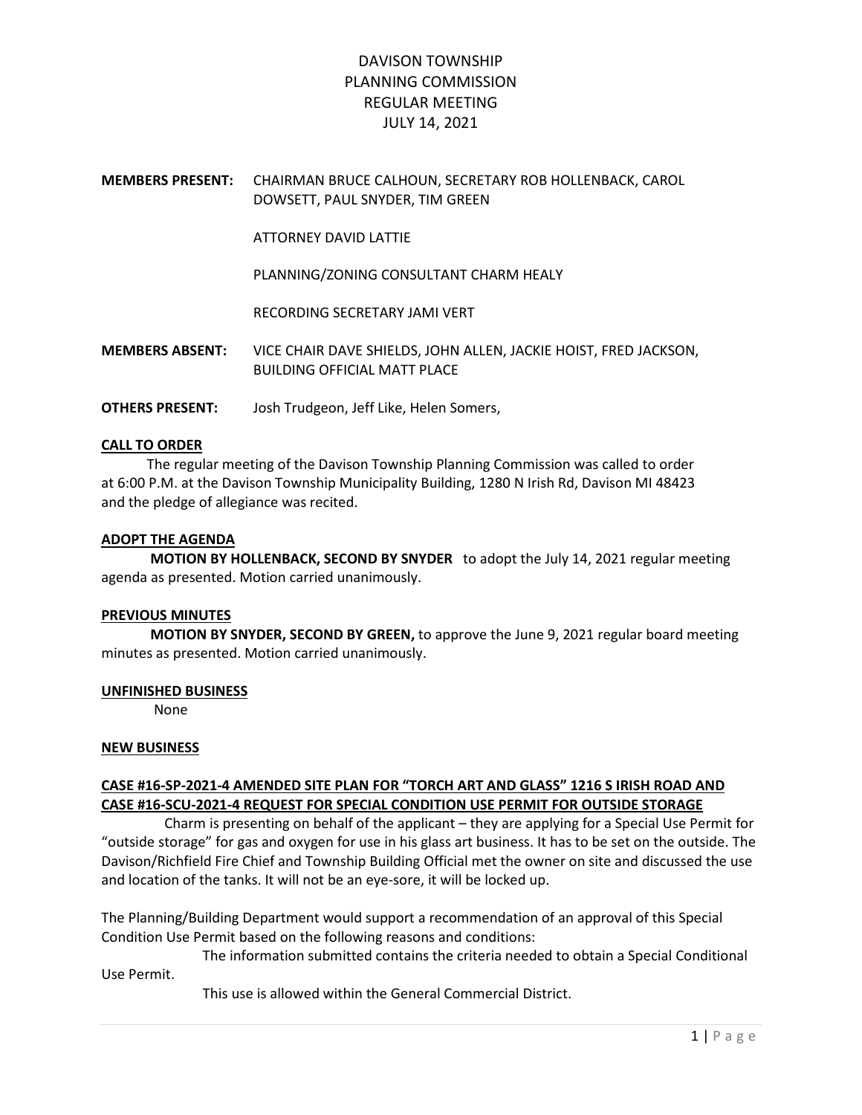# DAVISON TOWNSHIP PLANNING COMMISSION REGULAR MEETING JULY 14, 2021

MEMBERS PRESENT: CHAIRMAN BRUCE CALHOUN, SECRETARY ROB HOLLENBACK, CAROL DOWSETT, PAUL SNYDER, TIM GREEN

ATTORNEY DAVID LATTIE

PLANNING/ZONING CONSULTANT CHARM HEALY

RECORDING SECRETARY JAMI VERT

MEMBERS ABSENT: VICE CHAIR DAVE SHIELDS, JOHN ALLEN, JACKIE HOIST, FRED JACKSON, BUILDING OFFICIAL MATT PLACE

OTHERS PRESENT: Josh Trudgeon, Jeff Like, Helen Somers,

## CALL TO ORDER

 The regular meeting of the Davison Township Planning Commission was called to order at 6:00 P.M. at the Davison Township Municipality Building, 1280 N Irish Rd, Davison MI 48423 and the pledge of allegiance was recited.

### ADOPT THE AGENDA

 MOTION BY HOLLENBACK, SECOND BY SNYDER to adopt the July 14, 2021 regular meeting agenda as presented. Motion carried unanimously.

### PREVIOUS MINUTES

 MOTION BY SNYDER, SECOND BY GREEN, to approve the June 9, 2021 regular board meeting minutes as presented. Motion carried unanimously.

### UNFINISHED BUSINESS

None

### NEW BUSINESS

# CASE #16-SP-2021-4 AMENDED SITE PLAN FOR "TORCH ART AND GLASS" 1216 S IRISH ROAD AND CASE #16-SCU-2021-4 REQUEST FOR SPECIAL CONDITION USE PERMIT FOR OUTSIDE STORAGE

 Charm is presenting on behalf of the applicant – they are applying for a Special Use Permit for "outside storage" for gas and oxygen for use in his glass art business. It has to be set on the outside. The Davison/Richfield Fire Chief and Township Building Official met the owner on site and discussed the use and location of the tanks. It will not be an eye-sore, it will be locked up.

The Planning/Building Department would support a recommendation of an approval of this Special Condition Use Permit based on the following reasons and conditions:

 The information submitted contains the criteria needed to obtain a Special Conditional Use Permit.

This use is allowed within the General Commercial District.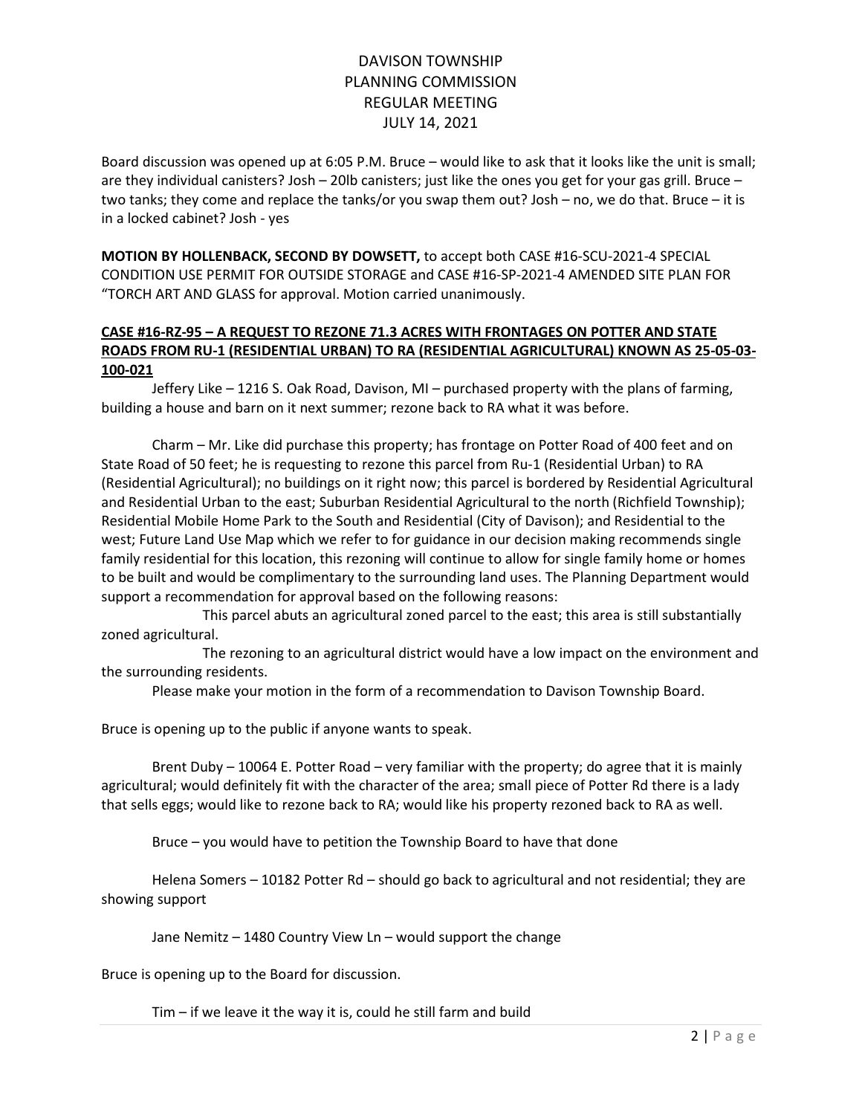# DAVISON TOWNSHIP PLANNING COMMISSION REGULAR MEETING JULY 14, 2021

Board discussion was opened up at 6:05 P.M. Bruce – would like to ask that it looks like the unit is small; are they individual canisters? Josh – 20lb canisters; just like the ones you get for your gas grill. Bruce – two tanks; they come and replace the tanks/or you swap them out? Josh – no, we do that. Bruce – it is in a locked cabinet? Josh - yes

MOTION BY HOLLENBACK, SECOND BY DOWSETT, to accept both CASE #16-SCU-2021-4 SPECIAL CONDITION USE PERMIT FOR OUTSIDE STORAGE and CASE #16-SP-2021-4 AMENDED SITE PLAN FOR "TORCH ART AND GLASS for approval. Motion carried unanimously.

# CASE #16-RZ-95 – A REQUEST TO REZONE 71.3 ACRES WITH FRONTAGES ON POTTER AND STATE ROADS FROM RU-1 (RESIDENTIAL URBAN) TO RA (RESIDENTIAL AGRICULTURAL) KNOWN AS 25-05-03- 100-021

 Jeffery Like – 1216 S. Oak Road, Davison, MI – purchased property with the plans of farming, building a house and barn on it next summer; rezone back to RA what it was before.

 Charm – Mr. Like did purchase this property; has frontage on Potter Road of 400 feet and on State Road of 50 feet; he is requesting to rezone this parcel from Ru-1 (Residential Urban) to RA (Residential Agricultural); no buildings on it right now; this parcel is bordered by Residential Agricultural and Residential Urban to the east; Suburban Residential Agricultural to the north (Richfield Township); Residential Mobile Home Park to the South and Residential (City of Davison); and Residential to the west; Future Land Use Map which we refer to for guidance in our decision making recommends single family residential for this location, this rezoning will continue to allow for single family home or homes to be built and would be complimentary to the surrounding land uses. The Planning Department would support a recommendation for approval based on the following reasons:

 This parcel abuts an agricultural zoned parcel to the east; this area is still substantially zoned agricultural.

 The rezoning to an agricultural district would have a low impact on the environment and the surrounding residents.

Please make your motion in the form of a recommendation to Davison Township Board.

Bruce is opening up to the public if anyone wants to speak.

 Brent Duby – 10064 E. Potter Road – very familiar with the property; do agree that it is mainly agricultural; would definitely fit with the character of the area; small piece of Potter Rd there is a lady that sells eggs; would like to rezone back to RA; would like his property rezoned back to RA as well.

Bruce – you would have to petition the Township Board to have that done

 Helena Somers – 10182 Potter Rd – should go back to agricultural and not residential; they are showing support

Jane Nemitz – 1480 Country View Ln – would support the change

Bruce is opening up to the Board for discussion.

Tim – if we leave it the way it is, could he still farm and build